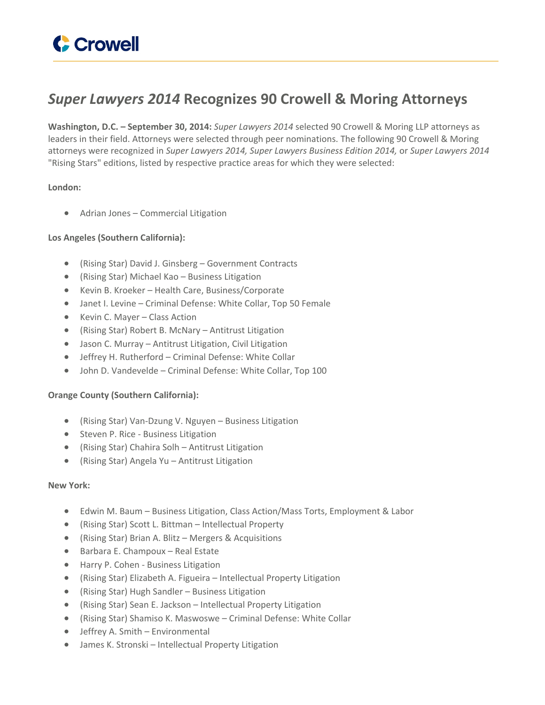

# *Super Lawyers 2014* **Recognizes 90 Crowell & Moring Attorneys**

**Washington, D.C. – September 30, 2014:** *Super Lawyers 2014* selected 90 Crowell & Moring LLP attorneys as leaders in their field. Attorneys were selected through peer nominations. The following 90 Crowell & Moring attorneys were recognized in *Super Lawyers 2014, Super Lawyers Business Edition 2014,* or *Super Lawyers 2014* "Rising Stars" editions, listed by respective practice areas for which they were selected:

### **London:**

Adrian Jones – Commercial Litigation

## **Los Angeles (Southern California):**

- (Rising Star) David J. Ginsberg Government Contracts
- (Rising Star) Michael Kao Business Litigation
- Kevin B. Kroeker Health Care, Business/Corporate
- Janet I. Levine Criminal Defense: White Collar, Top 50 Female
- Kevin C. Mayer Class Action
- (Rising Star) Robert B. McNary Antitrust Litigation
- Jason C. Murray Antitrust Litigation, Civil Litigation
- Jeffrey H. Rutherford Criminal Defense: White Collar
- John D. Vandevelde Criminal Defense: White Collar, Top 100

### **Orange County (Southern California):**

- (Rising Star) Van-Dzung V. Nguyen Business Litigation
- Steven P. Rice Business Litigation
- (Rising Star) Chahira Solh Antitrust Litigation
- (Rising Star) Angela Yu Antitrust Litigation

### **New York:**

- Edwin M. Baum Business Litigation, Class Action/Mass Torts, Employment & Labor
- (Rising Star) Scott L. Bittman Intellectual Property
- (Rising Star) Brian A. Blitz Mergers & Acquisitions
- Barbara E. Champoux Real Estate
- **•** Harry P. Cohen Business Litigation
- (Rising Star) Elizabeth A. Figueira Intellectual Property Litigation
- (Rising Star) Hugh Sandler Business Litigation
- (Rising Star) Sean E. Jackson Intellectual Property Litigation
- (Rising Star) Shamiso K. Maswoswe Criminal Defense: White Collar
- Jeffrey A. Smith Environmental
- James K. Stronski Intellectual Property Litigation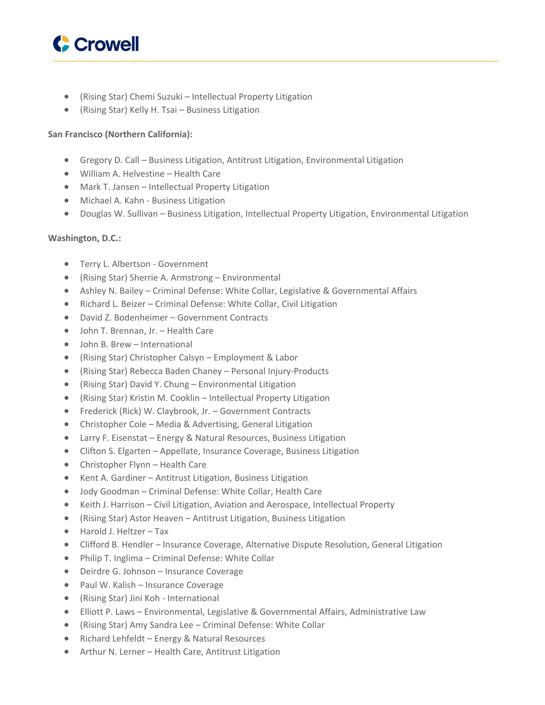

- (Rising Star) Chemi Suzuki Intellectual Property Litigation
- (Rising Star) Kelly H. Tsai Business Litigation

## **San Francisco (Northern California):**

- Gregory D. Call Business Litigation, Antitrust Litigation, Environmental Litigation
- William A. Helvestine Health Care
- Mark T. Jansen Intellectual Property Litigation
- Michael A. Kahn Business Litigation
- Douglas W. Sullivan Business Litigation, Intellectual Property Litigation, Environmental Litigation

#### **Washington, D.C.:**

- **•** Terry L. Albertson Government
- (Rising Star) Sherrie A. Armstrong Environmental
- Ashley N. Bailey Criminal Defense: White Collar, Legislative & Governmental Affairs
- Richard L. Beizer Criminal Defense: White Collar, Civil Litigation
- David Z. Bodenheimer Government Contracts
- John T. Brennan, Jr. Health Care
- John B. Brew International
- (Rising Star) Christopher Calsyn Employment & Labor
- (Rising Star) Rebecca Baden Chaney Personal Injury-Products
- (Rising Star) David Y. Chung Environmental Litigation
- (Rising Star) Kristin M. Cooklin Intellectual Property Litigation
- Frederick (Rick) W. Claybrook, Jr. Government Contracts
- Christopher Cole Media & Advertising, General Litigation
- Larry F. Eisenstat Energy & Natural Resources, Business Litigation
- Clifton S. Elgarten Appellate, Insurance Coverage, Business Litigation
- Christopher Flynn Health Care
- Kent A. Gardiner Antitrust Litigation, Business Litigation
- Jody Goodman Criminal Defense: White Collar, Health Care
- Keith J. Harrison Civil Litigation, Aviation and Aerospace, Intellectual Property
- (Rising Star) Astor Heaven Antitrust Litigation, Business Litigation
- Harold J. Heltzer Tax
- Clifford B. Hendler Insurance Coverage, Alternative Dispute Resolution, General Litigation
- Philip T. Inglima Criminal Defense: White Collar
- Deirdre G. Johnson Insurance Coverage
- Paul W. Kalish Insurance Coverage
- (Rising Star) Jini Koh International
- Elliott P. Laws Environmental, Legislative & Governmental Affairs, Administrative Law
- (Rising Star) Amy Sandra Lee Criminal Defense: White Collar
- Richard Lehfeldt Energy & Natural Resources
- Arthur N. Lerner Health Care, Antitrust Litigation